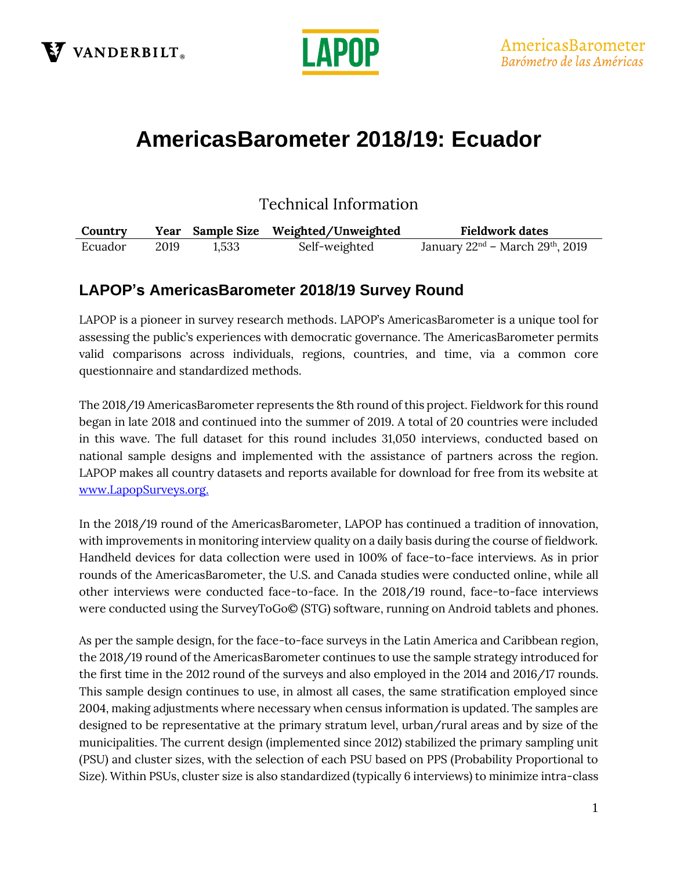



# **AmericasBarometer 2018/19: Ecuador**

Technical Information

| Country |      |       | Year Sample Size Weighted/Unweighted | <b>Fieldwork dates</b>                 |
|---------|------|-------|--------------------------------------|----------------------------------------|
| Ecuador | 2019 | 1,533 | Self-weighted                        | January $22nd$ – March $29th$ , $2019$ |

### **LAPOP's AmericasBarometer 2018/19 Survey Round**

LAPOP is a pioneer in survey research methods. LAPOP's AmericasBarometer is a unique tool for assessing the public's experiences with democratic governance. The AmericasBarometer permits valid comparisons across individuals, regions, countries, and time, via a common core questionnaire and standardized methods.

The 2018/19 AmericasBarometer represents the 8th round of this project. Fieldwork for this round began in late 2018 and continued into the summer of 2019. A total of 20 countries were included in this wave. The full dataset for this round includes 31,050 interviews, conducted based on national sample designs and implemented with the assistance of partners across the region. LAPOP makes all country datasets and reports available for download for free from its website at [www.LapopSurveys.org.](http://www.lapopsurveys.org/)

In the 2018/19 round of the AmericasBarometer, LAPOP has continued a tradition of innovation, with improvements in monitoring interview quality on a daily basis during the course of fieldwork. Handheld devices for data collection were used in 100% of face-to-face interviews. As in prior rounds of the AmericasBarometer, the U.S. and Canada studies were conducted online, while all other interviews were conducted face-to-face. In the 2018/19 round, face-to-face interviews were conducted using the SurveyToGo© (STG) software, running on Android tablets and phones.

As per the sample design, for the face-to-face surveys in the Latin America and Caribbean region, the 2018/19 round of the AmericasBarometer continues to use the sample strategy introduced for the first time in the 2012 round of the surveys and also employed in the 2014 and 2016/17 rounds. This sample design continues to use, in almost all cases, the same stratification employed since 2004, making adjustments where necessary when census information is updated. The samples are designed to be representative at the primary stratum level, urban/rural areas and by size of the municipalities. The current design (implemented since 2012) stabilized the primary sampling unit (PSU) and cluster sizes, with the selection of each PSU based on PPS (Probability Proportional to Size). Within PSUs, cluster size is also standardized (typically 6 interviews) to minimize intra-class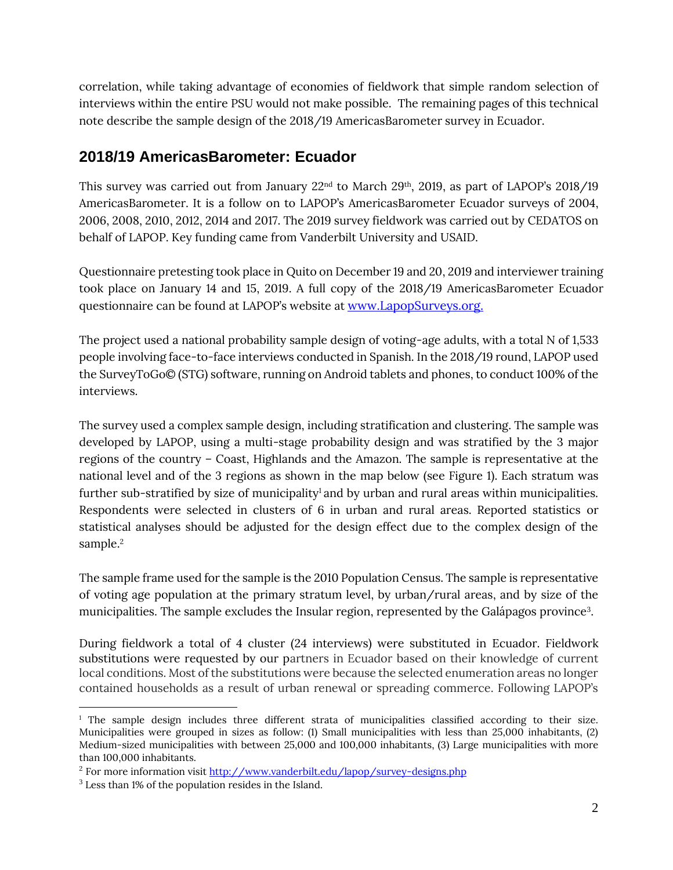correlation, while taking advantage of economies of fieldwork that simple random selection of interviews within the entire PSU would not make possible. The remaining pages of this technical note describe the sample design of the 2018/19 AmericasBarometer survey in Ecuador.

#### **2018/19 AmericasBarometer: Ecuador**

This survey was carried out from January  $22<sup>nd</sup>$  to March  $29<sup>th</sup>$ , 2019, as part of LAPOP's 2018/19 AmericasBarometer. It is a follow on to LAPOP's AmericasBarometer Ecuador surveys of 2004, 2006, 2008, 2010, 2012, 2014 and 2017. The 2019 survey fieldwork was carried out by CEDATOS on behalf of LAPOP. Key funding came from Vanderbilt University and USAID.

Questionnaire pretesting took place in Quito on December 19 and 20, 2019 and interviewer training took place on January 14 and 15, 2019. A full copy of the 2018/19 AmericasBarometer Ecuador questionnaire can be found at LAPOP's website at [www.LapopSurveys.org.](http://www.lapopsurveys.org/)

The project used a national probability sample design of voting-age adults, with a total N of 1,533 people involving face-to-face interviews conducted in Spanish. In the 2018/19 round, LAPOP used the SurveyToGo© (STG) software, running on Android tablets and phones, to conduct 100% of the interviews.

The survey used a complex sample design, including stratification and clustering. The sample was developed by LAPOP, using a multi-stage probability design and was stratified by the 3 major regions of the country – Coast, Highlands and the Amazon. The sample is representative at the national level and of the 3 regions as shown in the map below (see Figure 1). Each stratum was further sub-stratified by size of municipality<sup>1</sup> and by urban and rural areas within municipalities. Respondents were selected in clusters of 6 in urban and rural areas. Reported statistics or statistical analyses should be adjusted for the design effect due to the complex design of the sample. 2

The sample frame used for the sample is the 2010 Population Census. The sample is representative of voting age population at the primary stratum level, by urban/rural areas, and by size of the municipalities. The sample excludes the Insular region, represented by the Galápagos province<sup>3</sup>.

During fieldwork a total of 4 cluster (24 interviews) were substituted in Ecuador. Fieldwork substitutions were requested by our partners in Ecuador based on their knowledge of current local conditions. Most of the substitutions were because the selected enumeration areas no longer contained households as a result of urban renewal or spreading commerce. Following LAPOP's

<sup>&</sup>lt;sup>1</sup> The sample design includes three different strata of municipalities classified according to their size. Municipalities were grouped in sizes as follow: (1) Small municipalities with less than 25,000 inhabitants, (2) Medium-sized municipalities with between 25,000 and 100,000 inhabitants, (3) Large municipalities with more than 100,000 inhabitants.

<sup>&</sup>lt;sup>2</sup> For more information visi[t http://www.vanderbilt.edu/lapop/survey-designs.php](http://www.vanderbilt.edu/lapop/survey-designs.php)

<sup>3</sup> Less than 1% of the population resides in the Island.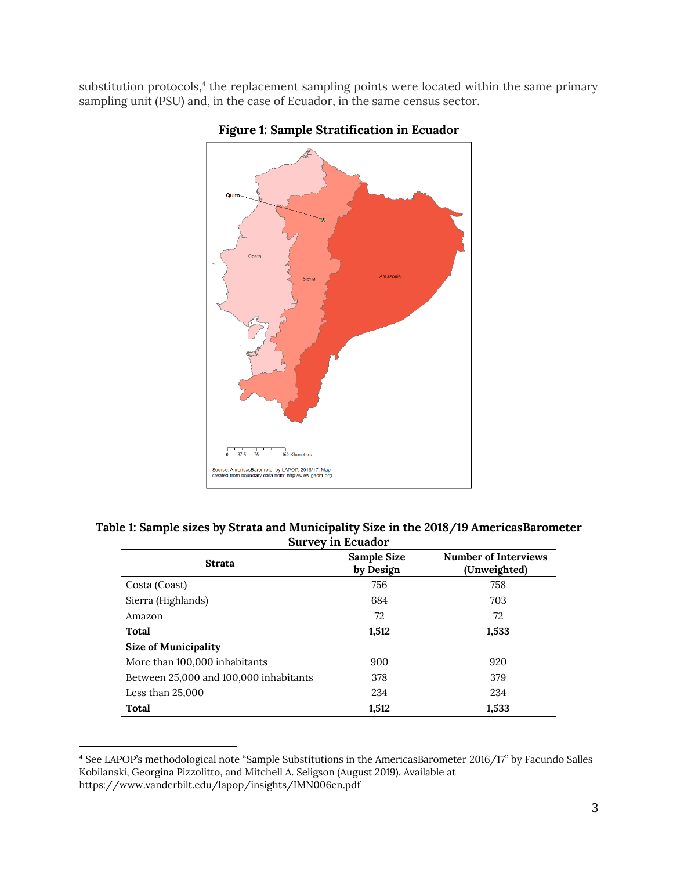substitution protocols, 4 the replacement sampling points were located within the same primary sampling unit (PSU) and, in the case of Ecuador, in the same census sector.



#### **Figure 1: Sample Stratification in Ecuador**

| Table 1: Sample sizes by Strata and Municipality Size in the 2018/19 AmericasBarometer |
|----------------------------------------------------------------------------------------|
| <b>Survey in Ecuador</b>                                                               |

| <b>Strata</b>                          | Sample Size<br>by Design | <b>Number of Interviews</b><br>(Unweighted) |
|----------------------------------------|--------------------------|---------------------------------------------|
| Costa (Coast)                          | 756                      | 758                                         |
| Sierra (Highlands)                     | 684                      | 703                                         |
| Amazon                                 | 72                       | 72                                          |
| <b>Total</b>                           | 1,512                    | 1,533                                       |
| <b>Size of Municipality</b>            |                          |                                             |
| More than 100,000 inhabitants          | 900                      | 920                                         |
| Between 25,000 and 100,000 inhabitants | 378                      | 379                                         |
| Less than $25,000$                     | 234                      | 234                                         |
| <b>Total</b>                           | 1,512                    | 1,533                                       |

<sup>4</sup> See LAPOP's methodological note "Sample Substitutions in the AmericasBarometer 2016/17" by Facundo Salles Kobilanski, Georgina Pizzolitto, and Mitchell A. Seligson (August 2019). Available at <https://www.vanderbilt.edu/lapop/insights/IMN006en.pdf>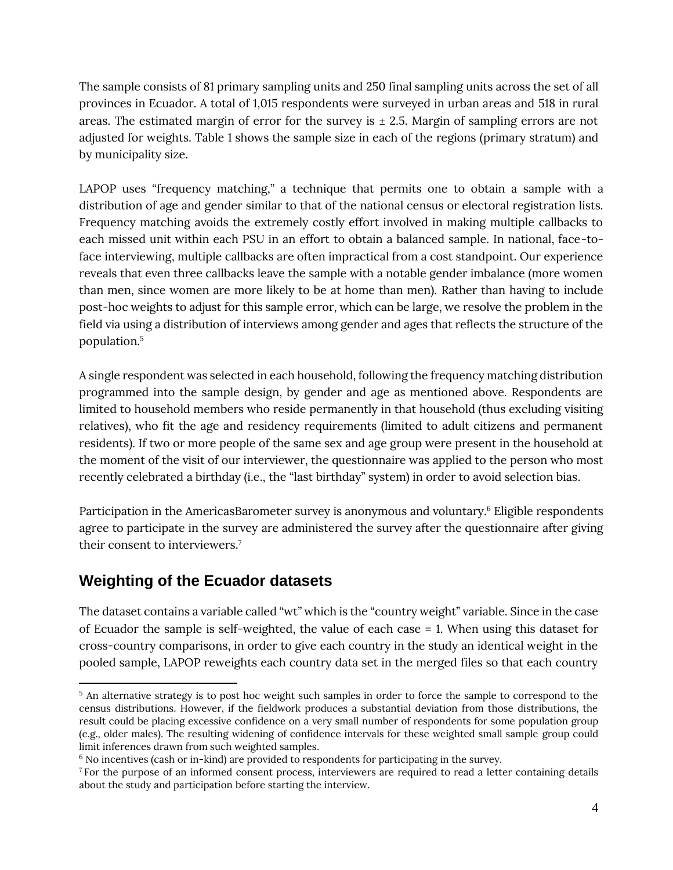The sample consists of 81 primary sampling units and 250 final sampling units across the set of all provinces in Ecuador. A total of 1,015 respondents were surveyed in urban areas and 518 in rural areas. The estimated margin of error for the survey is  $\pm$  2.5. Margin of sampling errors are not adjusted for weights. Table 1 shows the sample size in each of the regions (primary stratum) and by municipality size.

LAPOP uses "frequency matching," a technique that permits one to obtain a sample with a distribution of age and gender similar to that of the national census or electoral registration lists. Frequency matching avoids the extremely costly effort involved in making multiple callbacks to each missed unit within each PSU in an effort to obtain a balanced sample. In national, face-toface interviewing, multiple callbacks are often impractical from a cost standpoint. Our experience reveals that even three callbacks leave the sample with a notable gender imbalance (more women than men, since women are more likely to be at home than men). Rather than having to include post-hoc weights to adjust for this sample error, which can be large, we resolve the problem in the field via using a distribution of interviews among gender and ages that reflects the structure of the population.<sup>5</sup>

A single respondent was selected in each household, following the frequency matching distribution programmed into the sample design, by gender and age as mentioned above. Respondents are limited to household members who reside permanently in that household (thus excluding visiting relatives), who fit the age and residency requirements (limited to adult citizens and permanent residents). If two or more people of the same sex and age group were present in the household at the moment of the visit of our interviewer, the questionnaire was applied to the person who most recently celebrated a birthday (i.e., the "last birthday" system) in order to avoid selection bias.

Participation in the AmericasBarometer survey is anonymous and voluntary.<sup>6</sup> Eligible respondents agree to participate in the survey are administered the survey after the questionnaire after giving their consent to interviewers. 7

# **Weighting of the Ecuador datasets**

The dataset contains a variable called "wt" which is the "country weight" variable. Since in the case of Ecuador the sample is self-weighted, the value of each case = 1. When using this dataset for cross-country comparisons, in order to give each country in the study an identical weight in the pooled sample, LAPOP reweights each country data set in the merged files so that each country

<sup>&</sup>lt;sup>5</sup> An alternative strategy is to post hoc weight such samples in order to force the sample to correspond to the census distributions. However, if the fieldwork produces a substantial deviation from those distributions, the result could be placing excessive confidence on a very small number of respondents for some population group (e.g., older males). The resulting widening of confidence intervals for these weighted small sample group could limit inferences drawn from such weighted samples.

<sup>6</sup> No incentives (cash or in-kind) are provided to respondents for participating in the survey.

<sup>&</sup>lt;sup>7</sup> For the purpose of an informed consent process, interviewers are required to read a letter containing details about the study and participation before starting the interview.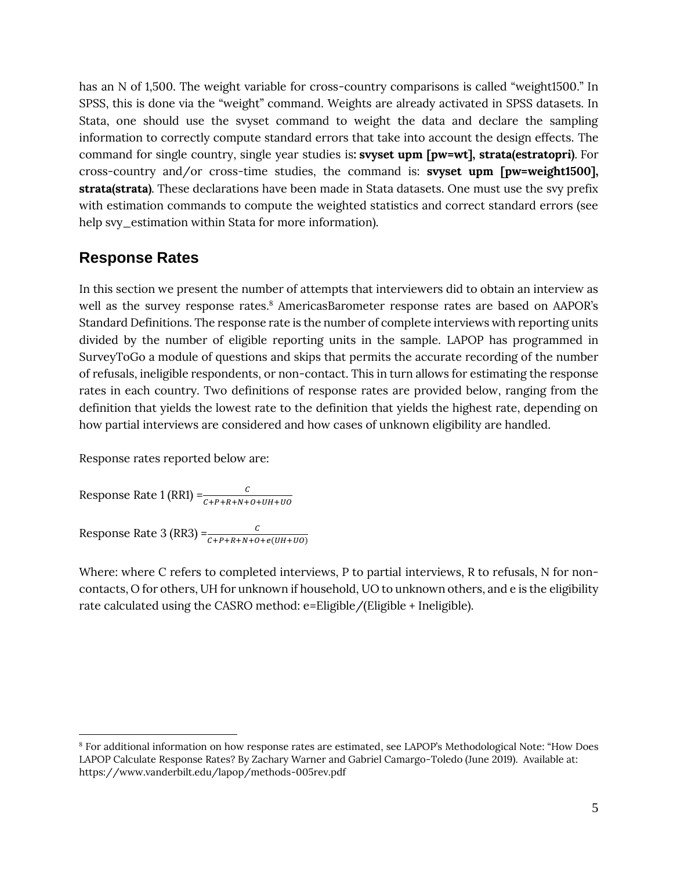has an N of 1,500. The weight variable for cross-country comparisons is called "weight1500." In SPSS, this is done via the "weight" command. Weights are already activated in SPSS datasets. In Stata, one should use the svyset command to weight the data and declare the sampling information to correctly compute standard errors that take into account the design effects. The command for single country, single year studies is**: svyset upm [pw=wt], strata(estratopri)**. For cross-country and/or cross-time studies, the command is: **svyset upm [pw=weight1500], strata(strata)**. These declarations have been made in Stata datasets. One must use the svy prefix with estimation commands to compute the weighted statistics and correct standard errors (see help svy\_estimation within Stata for more information).

#### **Response Rates**

In this section we present the number of attempts that interviewers did to obtain an interview as well as the survey response rates. <sup>8</sup> AmericasBarometer response rates are based on AAPOR's Standard Definitions. The response rate is the number of complete interviews with reporting units divided by the number of eligible reporting units in the sample. LAPOP has programmed in SurveyToGo a module of questions and skips that permits the accurate recording of the number of refusals, ineligible respondents, or non-contact. This in turn allows for estimating the response rates in each country. Two definitions of response rates are provided below, ranging from the definition that yields the lowest rate to the definition that yields the highest rate, depending on how partial interviews are considered and how cases of unknown eligibility are handled.

Response rates reported below are:

Response Rate 1 (RR1) = $\frac{c}{c + p + R + N + o + UH + UO}$ 

Response Rate 3 (RR3) =  $\frac{c}{c + P + R + N + O + e(UH + UO)}$ 

Where: where C refers to completed interviews, P to partial interviews, R to refusals, N for noncontacts, O for others, UH for unknown if household, UO to unknown others, and e is the eligibility rate calculated using the CASRO method: e=Eligible/(Eligible + Ineligible).

<sup>8</sup> For additional information on how response rates are estimated, see LAPOP's Methodological Note: "How Does LAPOP Calculate Response Rates? By Zachary Warner and Gabriel Camargo-Toledo (June 2019). Available at: <https://www.vanderbilt.edu/lapop/methods-005rev.pdf>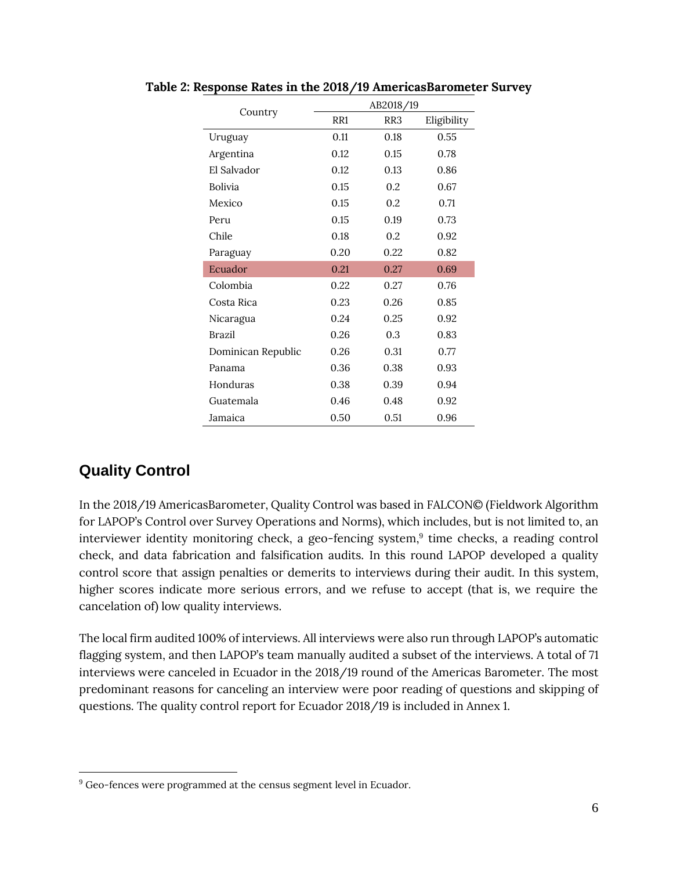| Country            | AB2018/19 |      |             |
|--------------------|-----------|------|-------------|
|                    | RR1       | RR3  | Eligibility |
| Uruguay            | 0.11      | 0.18 | 0.55        |
| Argentina          | 0.12      | 0.15 | 0.78        |
| El Salvador        | 0.12      | 0.13 | 0.86        |
| Bolivia            | 0.15      | 0.2  | 0.67        |
| Mexico             | 0.15      | 0.2  | 0.71        |
| Peru               | 0.15      | 0.19 | 0.73        |
| Chile              | 0.18      | 0.2. | 0.92        |
| Paraguay           | 0.20      | 0.22 | 0.82        |
| Ecuador            | 0.21      | 0.27 | 0.69        |
| Colombia           | 0.22      | 0.27 | 0.76        |
| Costa Rica         | 0.23      | 0.26 | 0.85        |
| Nicaragua          | 0.24      | 0.25 | 0.92        |
| Brazil             | 0.26      | 0.3  | 0.83        |
| Dominican Republic | 0.26      | 0.31 | 0.77        |
| Panama             | 0.36      | 0.38 | 0.93        |
| Honduras           | 0.38      | 0.39 | 0.94        |
| Guatemala          | 0.46      | 0.48 | 0.92        |
| Jamaica            | 0.50      | 0.51 | 0.96        |

**Table 2: Response Rates in the 2018/19 AmericasBarometer Survey**

### **Quality Control**

In the 2018/19 AmericasBarometer, Quality Control was based in FALCON© (Fieldwork Algorithm for LAPOP's Control over Survey Operations and Norms), which includes, but is not limited to, an interviewer identity monitoring check, a geo-fencing system, 9 time checks, a reading control check, and data fabrication and falsification audits. In this round LAPOP developed a quality control score that assign penalties or demerits to interviews during their audit. In this system, higher scores indicate more serious errors, and we refuse to accept (that is, we require the cancelation of) low quality interviews.

The local firm audited 100% of interviews. All interviews were also run through LAPOP's automatic flagging system, and then LAPOP's team manually audited a subset of the interviews. A total of 71 interviews were canceled in Ecuador in the 2018/19 round of the Americas Barometer. The most predominant reasons for canceling an interview were poor reading of questions and skipping of questions. The quality control report for Ecuador 2018/19 is included in Annex 1.

 $9$  Geo-fences were programmed at the census segment level in Ecuador.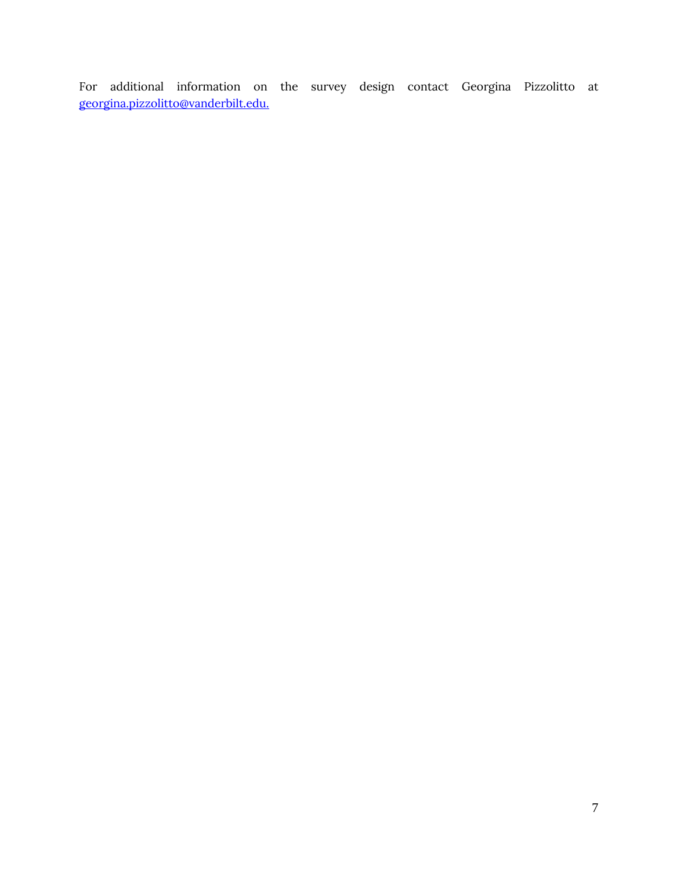For additional information on the survey design contact Georgina Pizzolitto at [georgina.pizzolitto@vanderbilt.edu.](mailto:georgina.pizzolitto@vanderbilt.edu.)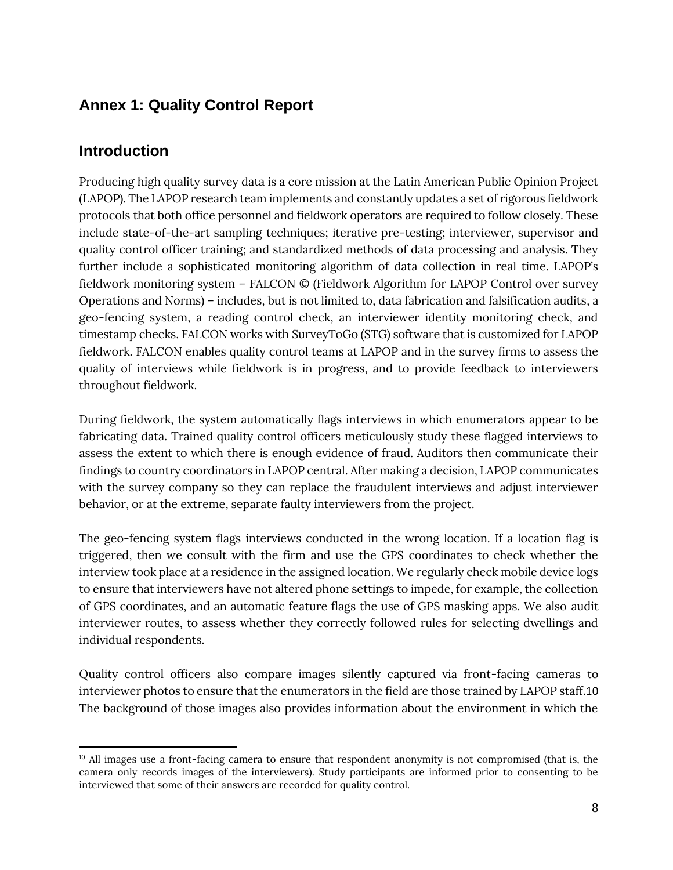# **Annex 1: Quality Control Report**

### **Introduction**

Producing high quality survey data is a core mission at the Latin American Public Opinion Project (LAPOP). The LAPOP research team implements and constantly updates a set of rigorous fieldwork protocols that both office personnel and fieldwork operators are required to follow closely. These include state-of-the-art sampling techniques; iterative pre-testing; interviewer, supervisor and quality control officer training; and standardized methods of data processing and analysis. They further include a sophisticated monitoring algorithm of data collection in real time. LAPOP's fieldwork monitoring system – FALCON © (Fieldwork Algorithm for LAPOP Control over survey Operations and Norms) – includes, but is not limited to, data fabrication and falsification audits, a geo-fencing system, a reading control check, an interviewer identity monitoring check, and timestamp checks. FALCON works with SurveyToGo (STG) software that is customized for LAPOP fieldwork. FALCON enables quality control teams at LAPOP and in the survey firms to assess the quality of interviews while fieldwork is in progress, and to provide feedback to interviewers throughout fieldwork.

During fieldwork, the system automatically flags interviews in which enumerators appear to be fabricating data. Trained quality control officers meticulously study these flagged interviews to assess the extent to which there is enough evidence of fraud. Auditors then communicate their findings to country coordinators in LAPOP central. After making a decision, LAPOP communicates with the survey company so they can replace the fraudulent interviews and adjust interviewer behavior, or at the extreme, separate faulty interviewers from the project.

The geo-fencing system flags interviews conducted in the wrong location. If a location flag is triggered, then we consult with the firm and use the GPS coordinates to check whether the interview took place at a residence in the assigned location. We regularly check mobile device logs to ensure that interviewers have not altered phone settings to impede, for example, the collection of GPS coordinates, and an automatic feature flags the use of GPS masking apps. We also audit interviewer routes, to assess whether they correctly followed rules for selecting dwellings and individual respondents.

Quality control officers also compare images silently captured via front-facing cameras to interviewer photos to ensure that the enumerators in the field are those trained by LAPOP staff.10 The background of those images also provides information about the environment in which the

<sup>10</sup> All images use a front-facing camera to ensure that respondent anonymity is not compromised (that is, the camera only records images of the interviewers). Study participants are informed prior to consenting to be interviewed that some of their answers are recorded for quality control.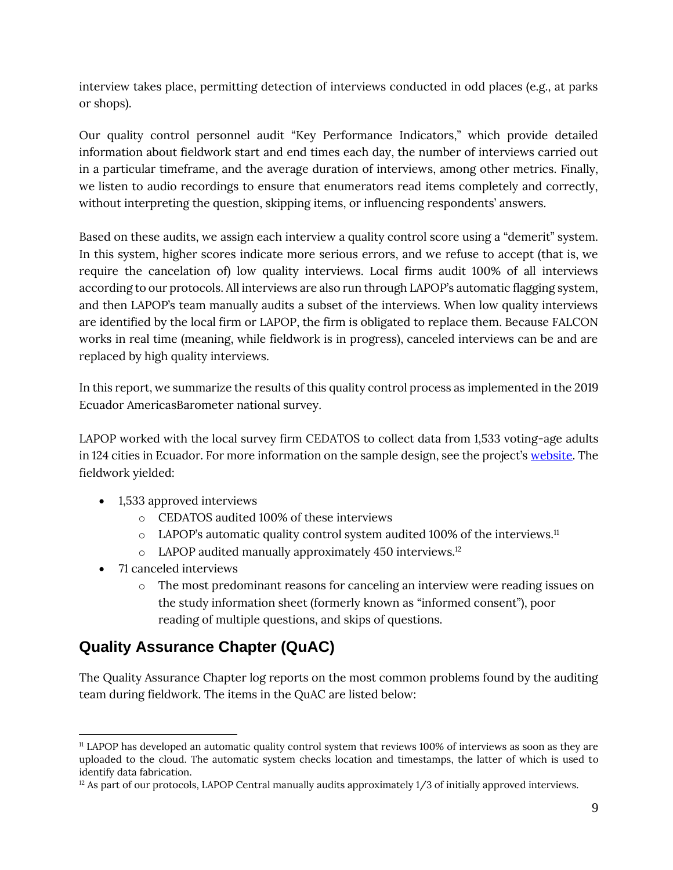interview takes place, permitting detection of interviews conducted in odd places (e.g., at parks or shops).

Our quality control personnel audit "Key Performance Indicators," which provide detailed information about fieldwork start and end times each day, the number of interviews carried out in a particular timeframe, and the average duration of interviews, among other metrics. Finally, we listen to audio recordings to ensure that enumerators read items completely and correctly, without interpreting the question, skipping items, or influencing respondents' answers.

Based on these audits, we assign each interview a quality control score using a "demerit" system. In this system, higher scores indicate more serious errors, and we refuse to accept (that is, we require the cancelation of) low quality interviews. Local firms audit 100% of all interviews according to our protocols. All interviews are also run through LAPOP's automatic flagging system, and then LAPOP's team manually audits a subset of the interviews. When low quality interviews are identified by the local firm or LAPOP, the firm is obligated to replace them. Because FALCON works in real time (meaning, while fieldwork is in progress), canceled interviews can be and are replaced by high quality interviews.

In this report, we summarize the results of this quality control process as implemented in the 2019 Ecuador AmericasBarometer national survey.

LAPOP worked with the local survey firm CEDATOS to collect data from 1,533 voting-age adults in 124 cities in Ecuador. For more information on the sample design, see the project's [website.](https://www.vanderbilt.edu/lapop/core-surveys.php) The fieldwork yielded:

- 1,533 approved interviews
	- o CEDATOS audited 100% of these interviews
	- o LAPOP's automatic quality control system audited 100% of the interviews.<sup>11</sup>
	- o LAPOP audited manually approximately 450 interviews.<sup>12</sup>
- 71 canceled interviews
	- o The most predominant reasons for canceling an interview were reading issues on the study information sheet (formerly known as "informed consent"), poor reading of multiple questions, and skips of questions.

# **Quality Assurance Chapter (QuAC)**

The Quality Assurance Chapter log reports on the most common problems found by the auditing team during fieldwork. The items in the QuAC are listed below:

<sup>11</sup> LAPOP has developed an automatic quality control system that reviews 100% of interviews as soon as they are uploaded to the cloud. The automatic system checks location and timestamps, the latter of which is used to identify data fabrication.

 $12$  As part of our protocols, LAPOP Central manually audits approximately 1/3 of initially approved interviews.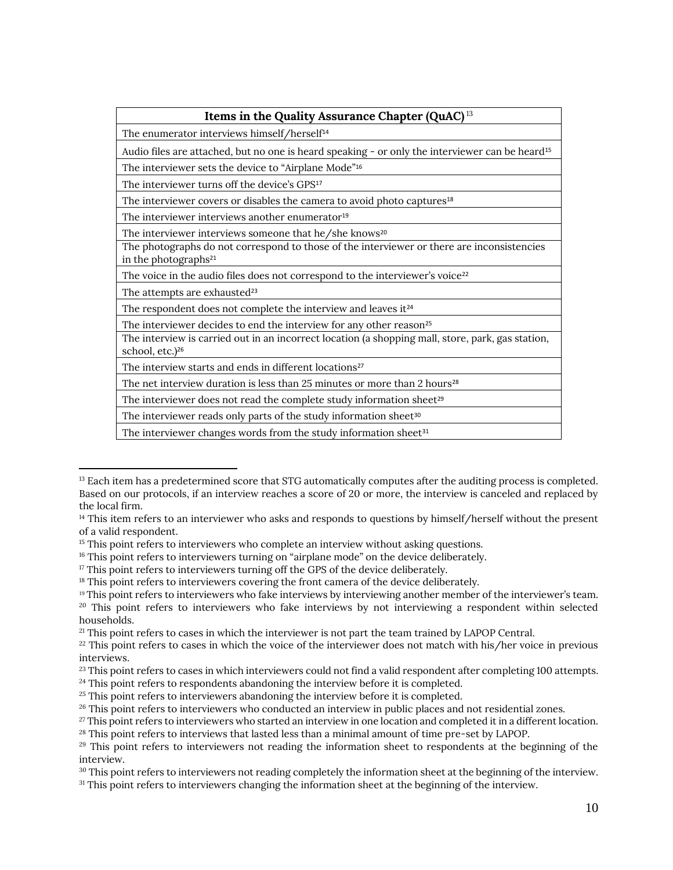| <b>Items in the Quality Assurance Chapter (QuAC)</b> <sup>13</sup>                                                               |  |  |  |  |
|----------------------------------------------------------------------------------------------------------------------------------|--|--|--|--|
| The enumerator interviews himself/herself <sup>14</sup>                                                                          |  |  |  |  |
| Audio files are attached, but no one is heard speaking - or only the interviewer can be heard <sup>15</sup>                      |  |  |  |  |
| The interviewer sets the device to "Airplane Mode" <sup>16</sup>                                                                 |  |  |  |  |
| The interviewer turns off the device's GPS <sup>17</sup>                                                                         |  |  |  |  |
| The interviewer covers or disables the camera to avoid photo captures <sup>18</sup>                                              |  |  |  |  |
| The interviewer interviews another enumerator <sup>19</sup>                                                                      |  |  |  |  |
| The interviewer interviews someone that he/she knows <sup>20</sup>                                                               |  |  |  |  |
| The photographs do not correspond to those of the interviewer or there are inconsistencies<br>in the photographs <sup>21</sup>   |  |  |  |  |
| The voice in the audio files does not correspond to the interviewer's voice <sup>22</sup>                                        |  |  |  |  |
| The attempts are exhausted <sup>23</sup>                                                                                         |  |  |  |  |
| The respondent does not complete the interview and leaves it <sup>24</sup>                                                       |  |  |  |  |
| The interviewer decides to end the interview for any other reason <sup>25</sup>                                                  |  |  |  |  |
| The interview is carried out in an incorrect location (a shopping mall, store, park, gas station,<br>school, etc.) <sup>26</sup> |  |  |  |  |
| The interview starts and ends in different locations <sup>27</sup>                                                               |  |  |  |  |
| The net interview duration is less than 25 minutes or more than 2 hours <sup>28</sup>                                            |  |  |  |  |
| The interviewer does not read the complete study information sheet <sup>29</sup>                                                 |  |  |  |  |
| The interviewer reads only parts of the study information sheet <sup>30</sup>                                                    |  |  |  |  |
| The interviewer changes words from the study information sheet <sup>31</sup>                                                     |  |  |  |  |

<sup>&</sup>lt;sup>13</sup> Each item has a predetermined score that STG automatically computes after the auditing process is completed. Based on our protocols, if an interview reaches a score of 20 or more, the interview is canceled and replaced by the local firm.

<sup>&</sup>lt;sup>14</sup> This item refers to an interviewer who asks and responds to questions by himself/herself without the present of a valid respondent.

<sup>&</sup>lt;sup>15</sup> This point refers to interviewers who complete an interview without asking questions.

<sup>&</sup>lt;sup>16</sup> This point refers to interviewers turning on "airplane mode" on the device deliberately.

<sup>&</sup>lt;sup>17</sup> This point refers to interviewers turning off the GPS of the device deliberately.

<sup>&</sup>lt;sup>18</sup> This point refers to interviewers covering the front camera of the device deliberately.

<sup>&</sup>lt;sup>19</sup> This point refers to interviewers who fake interviews by interviewing another member of the interviewer's team. <sup>20</sup> This point refers to interviewers who fake interviews by not interviewing a respondent within selected

households.

<sup>&</sup>lt;sup>21</sup> This point refers to cases in which the interviewer is not part the team trained by LAPOP Central.

 $22$  This point refers to cases in which the voice of the interviewer does not match with his/her voice in previous interviews.

<sup>&</sup>lt;sup>23</sup> This point refers to cases in which interviewers could not find a valid respondent after completing 100 attempts.

<sup>&</sup>lt;sup>24</sup> This point refers to respondents abandoning the interview before it is completed.

<sup>&</sup>lt;sup>25</sup> This point refers to interviewers abandoning the interview before it is completed.

<sup>&</sup>lt;sup>26</sup> This point refers to interviewers who conducted an interview in public places and not residential zones.

 $27$  This point refers to interviewers who started an interview in one location and completed it in a different location. <sup>28</sup> This point refers to interviews that lasted less than a minimal amount of time pre-set by LAPOP.

<sup>&</sup>lt;sup>29</sup> This point refers to interviewers not reading the information sheet to respondents at the beginning of the interview.

<sup>&</sup>lt;sup>30</sup> This point refers to interviewers not reading completely the information sheet at the beginning of the interview.

<sup>31</sup> This point refers to interviewers changing the information sheet at the beginning of the interview.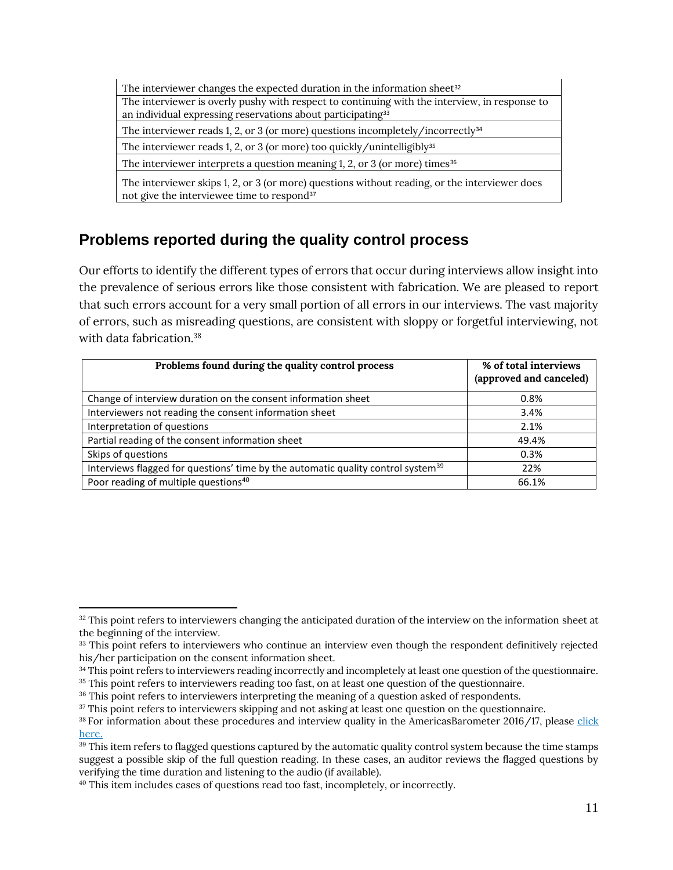| The interviewer changes the expected duration in the information sheet <sup>32</sup>                                                                                     |  |  |  |  |
|--------------------------------------------------------------------------------------------------------------------------------------------------------------------------|--|--|--|--|
| The interviewer is overly pushy with respect to continuing with the interview, in response to<br>an individual expressing reservations about participating <sup>33</sup> |  |  |  |  |
| The interviewer reads 1, 2, or 3 (or more) questions incompletely/incorrectly <sup>34</sup>                                                                              |  |  |  |  |
| The interviewer reads 1, 2, or 3 (or more) too quickly/unintelligibly <sup>35</sup>                                                                                      |  |  |  |  |
| The interviewer interprets a question meaning 1, 2, or 3 (or more) times $36$                                                                                            |  |  |  |  |
| The interviewer skips 1, 2, or 3 (or more) questions without reading, or the interviewer does<br>not give the interviewee time to respond <sup>37</sup>                  |  |  |  |  |

# **Problems reported during the quality control process**

Our efforts to identify the different types of errors that occur during interviews allow insight into the prevalence of serious errors like those consistent with fabrication. We are pleased to report that such errors account for a very small portion of all errors in our interviews. The vast majority of errors, such as misreading questions, are consistent with sloppy or forgetful interviewing, not with data fabrication.<sup>38</sup>

| Problems found during the quality control process                                            | % of total interviews<br>(approved and canceled) |
|----------------------------------------------------------------------------------------------|--------------------------------------------------|
| Change of interview duration on the consent information sheet                                | 0.8%                                             |
| Interviewers not reading the consent information sheet                                       | 3.4%                                             |
| Interpretation of questions                                                                  | 2.1%                                             |
| Partial reading of the consent information sheet                                             | 49.4%                                            |
| Skips of questions                                                                           | 0.3%                                             |
| Interviews flagged for questions' time by the automatic quality control system <sup>39</sup> | 22%                                              |
| Poor reading of multiple questions <sup>40</sup>                                             | 66.1%                                            |

<sup>&</sup>lt;sup>32</sup> This point refers to interviewers changing the anticipated duration of the interview on the information sheet at the beginning of the interview.

<sup>&</sup>lt;sup>33</sup> This point refers to interviewers who continue an interview even though the respondent definitively rejected his/her participation on the consent information sheet.

<sup>&</sup>lt;sup>34</sup> This point refers to interviewers reading incorrectly and incompletely at least one question of the questionnaire.

<sup>&</sup>lt;sup>35</sup> This point refers to interviewers reading too fast, on at least one question of the questionnaire.

<sup>&</sup>lt;sup>36</sup> This point refers to interviewers interpreting the meaning of a question asked of respondents.

<sup>&</sup>lt;sup>37</sup> This point refers to interviewers skipping and not asking at least one question on the questionnaire.

<sup>38</sup> For information about these procedures and interview quality in the AmericasBarometer 2016/17, please [click](https://www.vanderbilt.edu/lapop/insights/IMN002en.pdf)  [here.](https://www.vanderbilt.edu/lapop/insights/IMN002en.pdf)

<sup>&</sup>lt;sup>39</sup> This item refers to flagged questions captured by the automatic quality control system because the time stamps suggest a possible skip of the full question reading. In these cases, an auditor reviews the flagged questions by verifying the time duration and listening to the audio (if available).

<sup>40</sup> This item includes cases of questions read too fast, incompletely, or incorrectly.